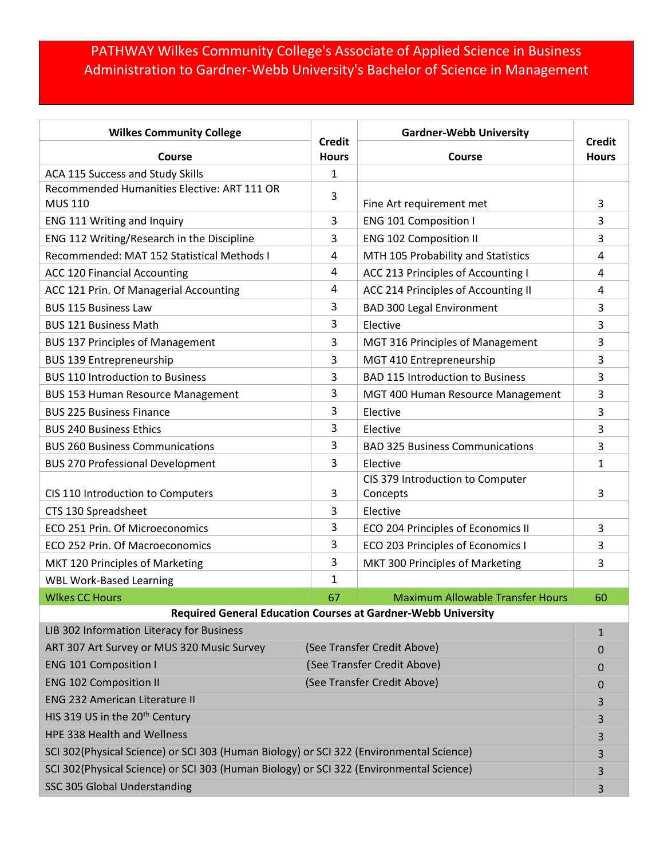## PATHWAY Wilkes Community College's Associate of Applied Science in Business Administration to Gardner-Webb University's Bachelor of Science in Management

| <b>Wilkes Community College</b>                                                         | <b>Credit</b>               | <b>Gardner-Webb University</b>          | <b>Credit</b> |  |
|-----------------------------------------------------------------------------------------|-----------------------------|-----------------------------------------|---------------|--|
| <b>Course</b>                                                                           | <b>Hours</b>                | Course                                  | <b>Hours</b>  |  |
| ACA 115 Success and Study Skills                                                        | 1                           |                                         |               |  |
| Recommended Humanities Elective: ART 111 OR<br><b>MUS 110</b>                           | 3                           | Fine Art requirement met                | 3             |  |
| ENG 111 Writing and Inquiry                                                             | 3                           | <b>ENG 101 Composition I</b>            | 3             |  |
| ENG 112 Writing/Research in the Discipline                                              | 3                           | <b>ENG 102 Composition II</b>           | 3             |  |
| Recommended: MAT 152 Statistical Methods I                                              | 4                           | MTH 105 Probability and Statistics      | 4             |  |
| <b>ACC 120 Financial Accounting</b>                                                     | 4                           | ACC 213 Principles of Accounting I      | 4             |  |
| ACC 121 Prin. Of Managerial Accounting                                                  | 4                           | ACC 214 Principles of Accounting II     | 4             |  |
| <b>BUS 115 Business Law</b>                                                             | 3                           | <b>BAD 300 Legal Environment</b>        | 3             |  |
| <b>BUS 121 Business Math</b>                                                            | 3                           | Elective                                | 3             |  |
| <b>BUS 137 Principles of Management</b>                                                 | 3                           | MGT 316 Principles of Management        | 3             |  |
| <b>BUS 139 Entrepreneurship</b>                                                         | 3                           | MGT 410 Entrepreneurship                | 3             |  |
| <b>BUS 110 Introduction to Business</b>                                                 | 3                           | <b>BAD 115 Introduction to Business</b> | 3             |  |
| <b>BUS 153 Human Resource Management</b>                                                | 3                           | MGT 400 Human Resource Management       | 3             |  |
| <b>BUS 225 Business Finance</b>                                                         | 3                           | Elective                                | 3             |  |
| <b>BUS 240 Business Ethics</b>                                                          | 3                           | Elective                                | 3             |  |
| <b>BUS 260 Business Communications</b>                                                  | 3                           | <b>BAD 325 Business Communications</b>  | 3             |  |
| <b>BUS 270 Professional Development</b>                                                 | 3                           | Elective                                | $\mathbf{1}$  |  |
|                                                                                         |                             | CIS 379 Introduction to Computer        |               |  |
| CIS 110 Introduction to Computers                                                       | 3                           | Concepts                                | 3             |  |
| CTS 130 Spreadsheet                                                                     | 3                           | Elective                                |               |  |
| ECO 251 Prin. Of Microeconomics                                                         | 3                           | ECO 204 Principles of Economics II      | 3             |  |
| ECO 252 Prin. Of Macroeconomics                                                         | 3                           | ECO 203 Principles of Economics I       | 3             |  |
| MKT 120 Principles of Marketing                                                         | 3                           | MKT 300 Principles of Marketing         | 3             |  |
| <b>WBL Work-Based Learning</b>                                                          | $\mathbf{1}$                |                                         |               |  |
| <b>WIkes CC Hours</b>                                                                   | 67                          | <b>Maximum Allowable Transfer Hours</b> | 60            |  |
| <b>Required General Education Courses at Gardner-Webb University</b>                    |                             |                                         |               |  |
| LIB 302 Information Literacy for Business                                               |                             |                                         | $\mathbf{1}$  |  |
| ART 307 Art Survey or MUS 320 Music Survey                                              | (See Transfer Credit Above) |                                         | 0             |  |
| <b>ENG 101 Composition I</b>                                                            | (See Transfer Credit Above) |                                         | 0             |  |
| <b>ENG 102 Composition II</b>                                                           | (See Transfer Credit Above) |                                         | 0             |  |
| <b>ENG 232 American Literature II</b>                                                   |                             |                                         | 3             |  |
| HIS 319 US in the 20 <sup>th</sup> Century                                              |                             |                                         | 3             |  |
| HPE 338 Health and Wellness                                                             |                             |                                         | 3             |  |
| SCI 302(Physical Science) or SCI 303 (Human Biology) or SCI 322 (Environmental Science) |                             |                                         | 3             |  |
| SCI 302(Physical Science) or SCI 303 (Human Biology) or SCI 322 (Environmental Science) |                             |                                         | 3             |  |
| SSC 305 Global Understanding                                                            |                             |                                         | 3             |  |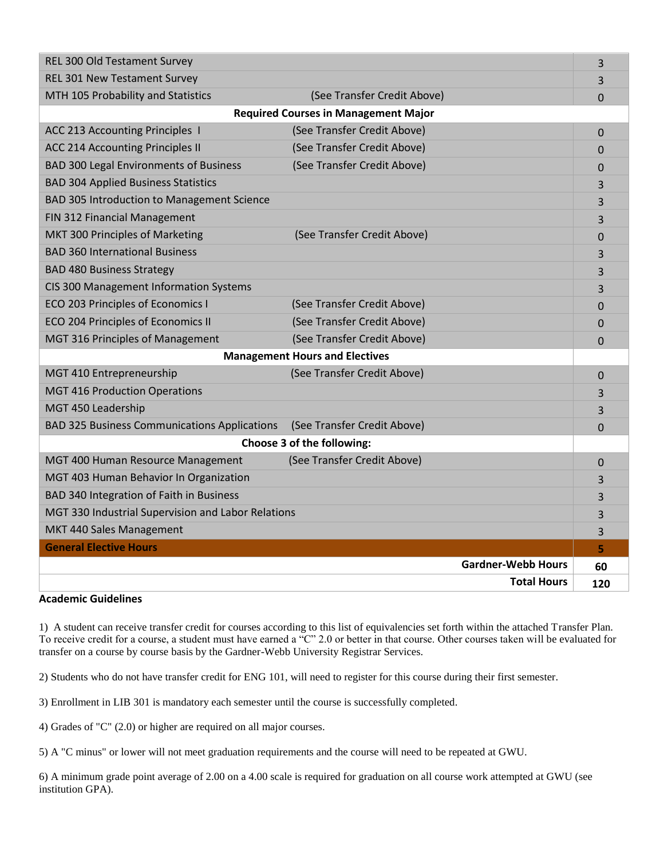| <b>REL 300 Old Testament Survey</b>                 |                             | 3              |  |
|-----------------------------------------------------|-----------------------------|----------------|--|
| REL 301 New Testament Survey                        |                             | 3              |  |
| MTH 105 Probability and Statistics                  | (See Transfer Credit Above) | $\Omega$       |  |
| <b>Required Courses in Management Major</b>         |                             |                |  |
| <b>ACC 213 Accounting Principles 1</b>              | (See Transfer Credit Above) | $\mathbf 0$    |  |
| <b>ACC 214 Accounting Principles II</b>             | (See Transfer Credit Above) | $\overline{0}$ |  |
| <b>BAD 300 Legal Environments of Business</b>       | (See Transfer Credit Above) | $\overline{0}$ |  |
| <b>BAD 304 Applied Business Statistics</b>          |                             | 3              |  |
| BAD 305 Introduction to Management Science          |                             | 3              |  |
| FIN 312 Financial Management                        |                             | 3              |  |
| MKT 300 Principles of Marketing                     | (See Transfer Credit Above) | 0              |  |
| <b>BAD 360 International Business</b>               |                             | 3              |  |
| <b>BAD 480 Business Strategy</b>                    |                             | 3              |  |
| CIS 300 Management Information Systems              |                             | 3              |  |
| ECO 203 Principles of Economics I                   | (See Transfer Credit Above) | $\Omega$       |  |
| ECO 204 Principles of Economics II                  | (See Transfer Credit Above) | $\overline{0}$ |  |
| MGT 316 Principles of Management                    | (See Transfer Credit Above) | $\overline{0}$ |  |
| <b>Management Hours and Electives</b>               |                             |                |  |
| MGT 410 Entrepreneurship                            | (See Transfer Credit Above) | 0              |  |
| <b>MGT 416 Production Operations</b>                |                             | 3              |  |
| MGT 450 Leadership                                  |                             | 3              |  |
| <b>BAD 325 Business Communications Applications</b> | (See Transfer Credit Above) | 0              |  |
| Choose 3 of the following:                          |                             |                |  |
| MGT 400 Human Resource Management                   | (See Transfer Credit Above) | $\overline{0}$ |  |
| MGT 403 Human Behavior In Organization              |                             | 3              |  |
| BAD 340 Integration of Faith in Business            |                             | 3              |  |
| MGT 330 Industrial Supervision and Labor Relations  |                             | 3              |  |
| MKT 440 Sales Management                            |                             | 3              |  |
| <b>General Elective Hours</b>                       |                             | 5              |  |
|                                                     | <b>Gardner-Webb Hours</b>   | 60             |  |
|                                                     | <b>Total Hours</b>          | 120            |  |

## **Academic Guidelines**

1) A student can receive transfer credit for courses according to this list of equivalencies set forth within the attached Transfer Plan. To receive credit for a course, a student must have earned a "C" 2.0 or better in that course. Other courses taken will be evaluated for transfer on a course by course basis by the Gardner-Webb University Registrar Services.

2) Students who do not have transfer credit for ENG 101, will need to register for this course during their first semester.

3) Enrollment in LIB 301 is mandatory each semester until the course is successfully completed.

4) Grades of "C" (2.0) or higher are required on all major courses.

5) A "C minus" or lower will not meet graduation requirements and the course will need to be repeated at GWU.

6) A minimum grade point average of 2.00 on a 4.00 scale is required for graduation on all course work attempted at GWU (see institution GPA).